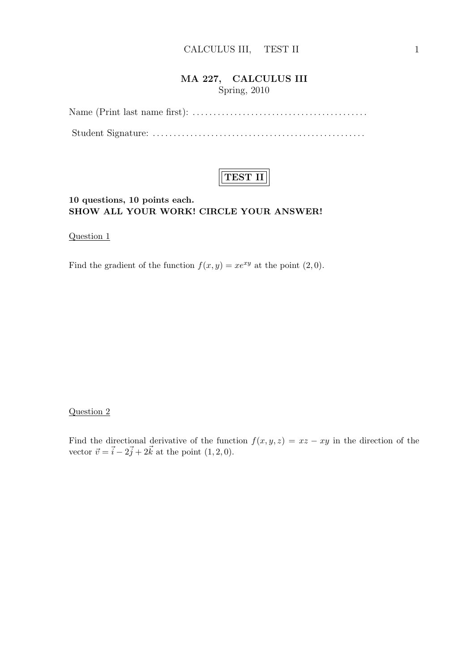### MA 227, CALCULUS III Spring, 2010

Name (Print last name first): . . . . . . . . . . . . . . . . . . . . . . . . . . . . . . . . . . . . . . . . . . Student Signature: . . . . . . . . . . . . . . . . . . . . . . . . . . . . . . . . . . . . . . . . . . . . . . . . . . .



#### 10 questions, 10 points each. SHOW ALL YOUR WORK! CIRCLE YOUR ANSWER!

Question 1

Find the gradient of the function  $f(x, y) = xe^{xy}$  at the point  $(2, 0)$ .

#### Question 2

Find the directional derivative of the function  $f(x, y, z) = xz - xy$  in the direction of the vector  $\vec{v} = \vec{i} - 2\vec{j} + 2\vec{k}$  at the point  $(1, 2, 0)$ .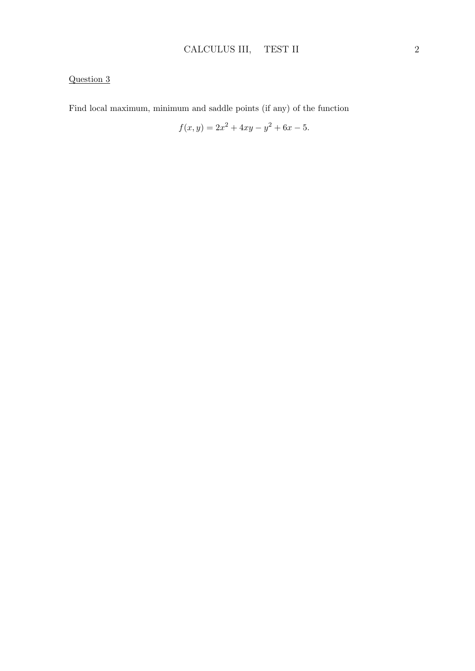Find local maximum, minimum and saddle points (if any) of the function

$$
f(x,y) = 2x^2 + 4xy - y^2 + 6x - 5.
$$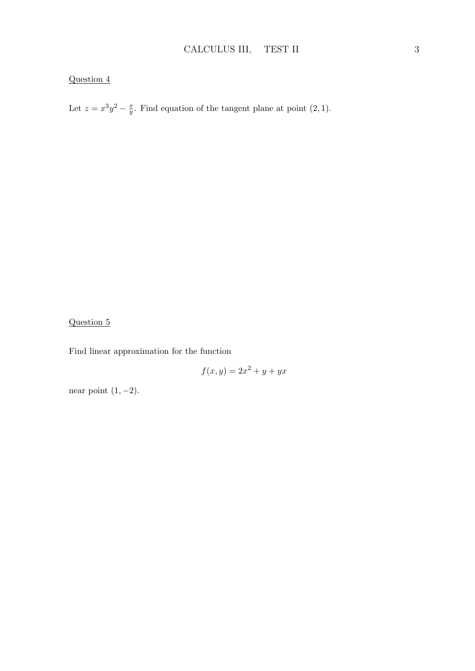Let  $z = x^3y^2 - \frac{x}{y}$  $\frac{x}{y}$ . Find equation of the tangent plane at point  $(2, 1)$ .

# Question 5

Find linear approximation for the function

$$
f(x,y) = 2x^2 + y + yx
$$

near point  $(1, -2)$ .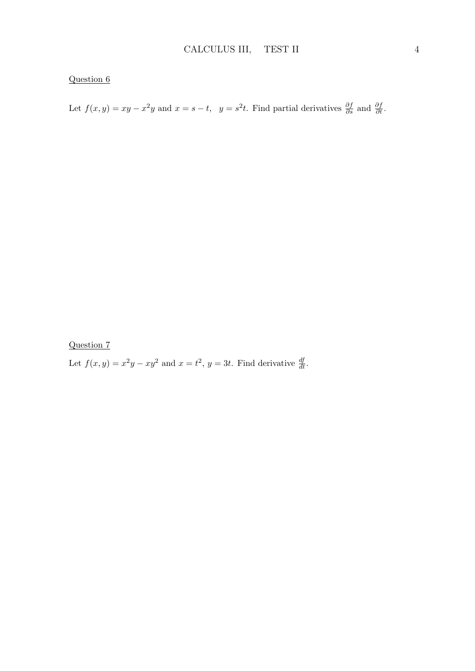Let  $f(x, y) = xy - x^2y$  and  $x = s - t$ ,  $y = s^2t$ . Find partial derivatives  $\frac{\partial f}{\partial s}$  and  $\frac{\partial f}{\partial t}$ .

Question 7

Let  $f(x, y) = x^2y - xy^2$  and  $x = t^2$ ,  $y = 3t$ . Find derivative  $\frac{df}{dt}$ .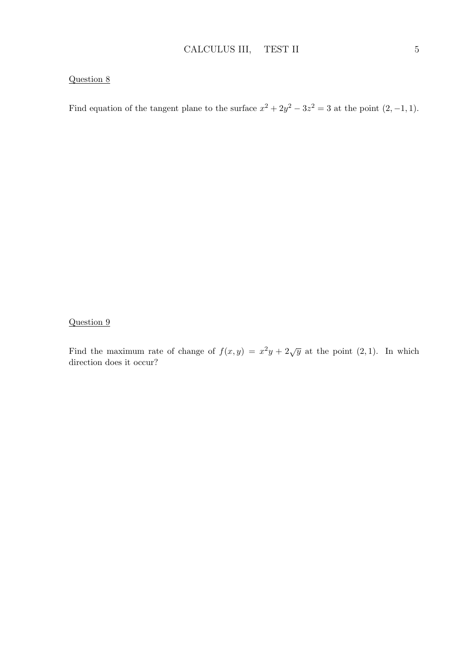Find equation of the tangent plane to the surface  $x^2 + 2y^2 - 3z^2 = 3$  at the point  $(2, -1, 1)$ .

#### Question 9

Find the maximum rate of change of  $f(x, y) = x^2y + 2\sqrt{y}$  at the point  $(2, 1)$ . In which direction does it occur?